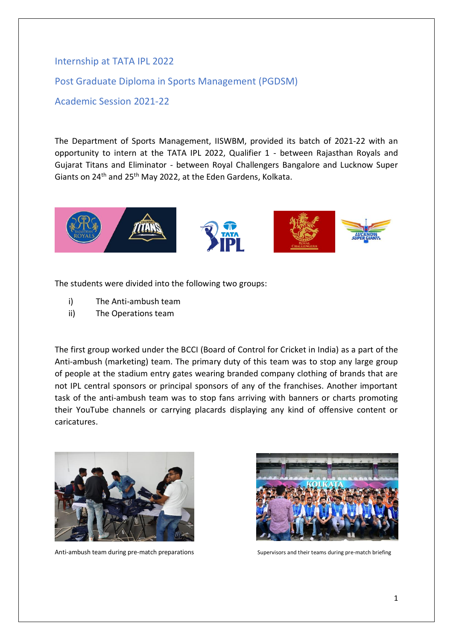## Internship at TATA IPL 2022

Post Graduate Diploma in Sports Management (PGDSM)

Academic Session 2021-22

The Department of Sports Management, IISWBM, provided its batch of 2021-22 with an opportunity to intern at the TATA IPL 2022, Qualifier 1 - between Rajasthan Royals and Gujarat Titans and Eliminator - between Royal Challengers Bangalore and Lucknow Super Giants on 24th and 25th May 2022, at the Eden Gardens, Kolkata.



The students were divided into the following two groups:

- i) The Anti-ambush team
- ii) The Operations team

The first group worked under the BCCI (Board of Control for Cricket in India) as a part of the Anti-ambush (marketing) team. The primary duty of this team was to stop any large group of people at the stadium entry gates wearing branded company clothing of brands that are not IPL central sponsors or principal sponsors of any of the franchises. Another important task of the anti-ambush team was to stop fans arriving with banners or charts promoting their YouTube channels or carrying placards displaying any kind of offensive content or caricatures.



Anti-ambush team during pre-match preparations Supervisors and their teams during pre-match briefing